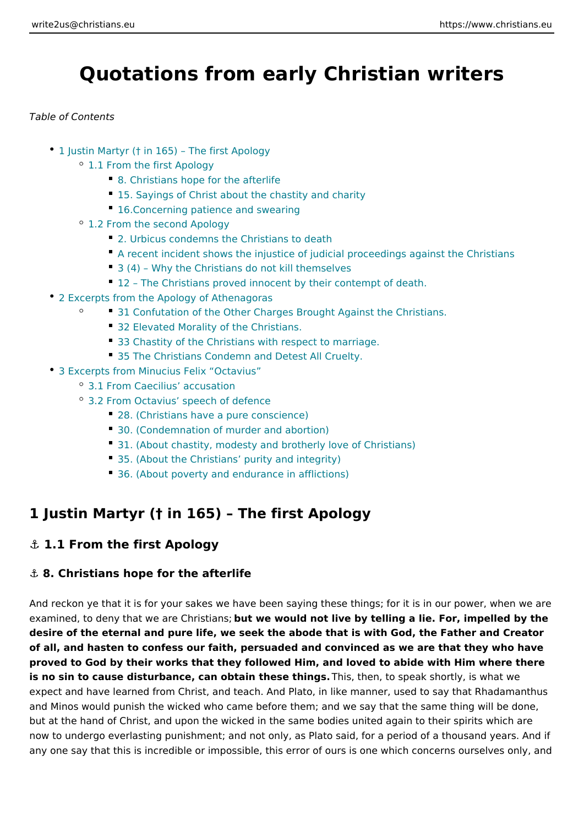# Quotations from early Christian write

#### Table of Contents

 $\circ$ 

- 1 Justin Martyr ( in 165) The first Apology
	- <sup>o</sup> 1.1 From the first Apology
		- 8. Christians hope for the afterlife
		- [15. Sayings of Christ about the chas](#page-1-0)tity and charity
		- [16.Concerning patience an](#page-1-0)d swearing
	- [1.2 From the second](#page-2-0) Apology
		- [2. Urbicus condemns the Christ](#page-2-0)ians to death
		- [A recent incident shows the injustice of judicial proceedin](#page-2-0)gs agains
		- **3 (4)** Why the Christians do not kill themselves
		- **12** The Christians proved innocent by their contempt of death.
- [2 Excerpts from the Apology of](#page-3-0) Athenagoras
	- **[31 Confutation of the Other Charges Brought Ag](#page-4-0)ainst the Christians.**
	- **[32 Elevated Morality of the](#page-4-0) Christians.**
	- [33 Chastity of the Christians with resp](#page-5-0)ect to marriage.
	- **[35 The Christians Condemn and Det](#page-5-0)est All Cruelty.**
- [3 Excerpts from Minucius Fel](#page-6-0)ix Octavius
	- [3.1 From Caecilius a](#page-6-0)ccusation
	- [3.2 From Octavius speech](#page-7-0) of defence
		- [28. \(Christians have a pure](#page-7-0) conscience)
		- **[30. \(Condemnation of murder a](#page-8-0)nd abortion)**
		- [31. \(About chastity, modesty and brotherly](#page-8-0) love of Christians)
		- [35. \(About the Christians purity](#page-9-0) and integrity)
		- [36. \(About poverty and endurance](#page-9-0) in afflictions)

## 1 Justin Martyr ( in 165) The first Apology

&" 1.1 From the first Apology

&" 8. Christians hope for the afterlife

And reckon ye that it is for your sakes we have been saying these things; for it examined, to deny that we areb Ch w stiwans; d not live by telling a lie. For, impelled desire of the eternal and pure life, we seek the abode that is with God, the Fath of all, and hasten to confess our faith, persuaded and convinced as we are that proved to God by their works that they followed Him, and loved to abide with Hin is no sin to cause disturbance, can obtain thesistes, things. to speak shortly, is what expect and have learned from Christ, and teach. And Plato, in like manner, used and Minos would punish the wicked who came before them; and we say that the s but at the hand of Christ, and upon the wicked in the same bodies united again t now to undergo everlasting punishment; and not only, as Plato said, for a period any one say that this is incredible or impossible, this error of ours is one which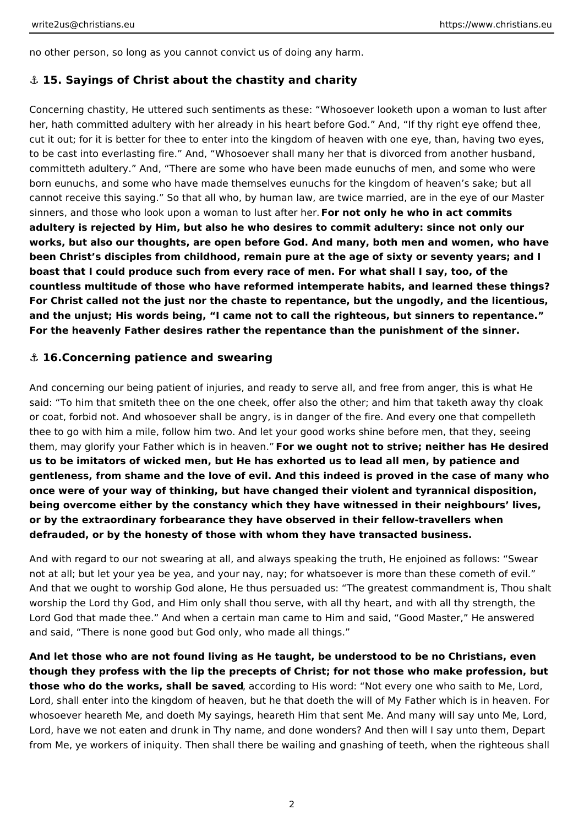<span id="page-1-0"></span>no other person, so long as you cannot convict us of doing any harm.

#### **⚓ 15. Sayings of Christ about the chastity and charity**

Concerning chastity, He uttered such sentiments as these: "Whosoever looketh upon a woman to lust after her, hath committed adultery with her already in his heart before God." And, "If thy right eye offend thee, cut it out; for it is better for thee to enter into the kingdom of heaven with one eye, than, having two eyes, to be cast into everlasting fire." And, "Whosoever shall many her that is divorced from another husband, committeth adultery." And, "There are some who have been made eunuchs of men, and some who were born eunuchs, and some who have made themselves eunuchs for the kingdom of heaven's sake; but all cannot receive this saying." So that all who, by human law, are twice married, are in the eye of our Master sinners, and those who look upon a woman to lust after her. **For not only he who in act commits adultery is rejected by Him, but also he who desires to commit adultery: since not only our works, but also our thoughts, are open before God. And many, both men and women, who have been Christ's disciples from childhood, remain pure at the age of sixty or seventy years; and I boast that I could produce such from every race of men. For what shall I say, too, of the countless multitude of those who have reformed intemperate habits, and learned these things? For Christ called not the just nor the chaste to repentance, but the ungodly, and the licentious, and the unjust; His words being, "I came not to call the righteous, but sinners to repentance." For the heavenly Father desires rather the repentance than the punishment of the sinner.**

#### **⚓ 16.Concerning patience and swearing**

And concerning our being patient of injuries, and ready to serve all, and free from anger, this is what He said: "To him that smiteth thee on the one cheek, offer also the other; and him that taketh away thy cloak or coat, forbid not. And whosoever shall be angry, is in danger of the fire. And every one that compelleth thee to go with him a mile, follow him two. And let your good works shine before men, that they, seeing them, may glorify your Father which is in heaven." **For we ought not to strive; neither has He desired us to be imitators of wicked men, but He has exhorted us to lead all men, by patience and gentleness, from shame and the love of evil. And this indeed is proved in the case of many who once were of your way of thinking, but have changed their violent and tyrannical disposition, being overcome either by the constancy which they have witnessed in their neighbours' lives, or by the extraordinary forbearance they have observed in their fellow-travellers when defrauded, or by the honesty of those with whom they have transacted business.**

And with regard to our not swearing at all, and always speaking the truth, He enjoined as follows: "Swear not at all; but let your yea be yea, and your nay, nay; for whatsoever is more than these cometh of evil." And that we ought to worship God alone, He thus persuaded us: "The greatest commandment is, Thou shalt worship the Lord thy God, and Him only shall thou serve, with all thy heart, and with all thy strength, the Lord God that made thee." And when a certain man came to Him and said, "Good Master," He answered and said, "There is none good but God only, who made all things."

**And let those who are not found living as He taught, be understood to be no Christians, even though they profess with the lip the precepts of Christ; for not those who make profession, but those who do the works, shall be saved**, according to His word: "Not every one who saith to Me, Lord, Lord, shall enter into the kingdom of heaven, but he that doeth the will of My Father which is in heaven. For whosoever heareth Me, and doeth My sayings, heareth Him that sent Me. And many will say unto Me, Lord, Lord, have we not eaten and drunk in Thy name, and done wonders? And then will I say unto them, Depart from Me, ye workers of iniquity. Then shall there be wailing and gnashing of teeth, when the righteous shall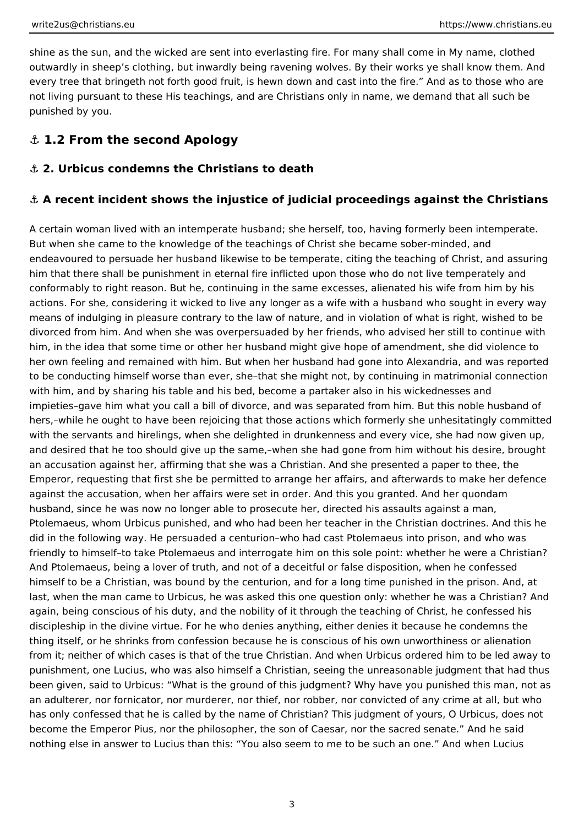<span id="page-2-0"></span>shine as the sun, and the wicked are sent into everlasting fire. For many shall come in My name, clothed outwardly in sheep's clothing, but inwardly being ravening wolves. By their works ye shall know them. And every tree that bringeth not forth good fruit, is hewn down and cast into the fire." And as to those who are not living pursuant to these His teachings, and are Christians only in name, we demand that all such be punished by you.

## **⚓ 1.2 From the second Apology**

## **⚓ 2. Urbicus condemns the Christians to death**

## **⚓ A recent incident shows the injustice of judicial proceedings against the Christians**

A certain woman lived with an intemperate husband; she herself, too, having formerly been intemperate. But when she came to the knowledge of the teachings of Christ she became sober-minded, and endeavoured to persuade her husband likewise to be temperate, citing the teaching of Christ, and assuring him that there shall be punishment in eternal fire inflicted upon those who do not live temperately and conformably to right reason. But he, continuing in the same excesses, alienated his wife from him by his actions. For she, considering it wicked to live any longer as a wife with a husband who sought in every way means of indulging in pleasure contrary to the law of nature, and in violation of what is right, wished to be divorced from him. And when she was overpersuaded by her friends, who advised her still to continue with him, in the idea that some time or other her husband might give hope of amendment, she did violence to her own feeling and remained with him. But when her husband had gone into Alexandria, and was reported to be conducting himself worse than ever, she–that she might not, by continuing in matrimonial connection with him, and by sharing his table and his bed, become a partaker also in his wickednesses and impieties–gave him what you call a bill of divorce, and was separated from him. But this noble husband of hers,–while he ought to have been rejoicing that those actions which formerly she unhesitatingly committed with the servants and hirelings, when she delighted in drunkenness and every vice, she had now given up, and desired that he too should give up the same,–when she had gone from him without his desire, brought an accusation against her, affirming that she was a Christian. And she presented a paper to thee, the Emperor, requesting that first she be permitted to arrange her affairs, and afterwards to make her defence against the accusation, when her affairs were set in order. And this you granted. And her quondam husband, since he was now no longer able to prosecute her, directed his assaults against a man, Ptolemaeus, whom Urbicus punished, and who had been her teacher in the Christian doctrines. And this he did in the following way. He persuaded a centurion–who had cast Ptolemaeus into prison, and who was friendly to himself–to take Ptolemaeus and interrogate him on this sole point: whether he were a Christian? And Ptolemaeus, being a lover of truth, and not of a deceitful or false disposition, when he confessed himself to be a Christian, was bound by the centurion, and for a long time punished in the prison. And, at last, when the man came to Urbicus, he was asked this one question only: whether he was a Christian? And again, being conscious of his duty, and the nobility of it through the teaching of Christ, he confessed his discipleship in the divine virtue. For he who denies anything, either denies it because he condemns the thing itself, or he shrinks from confession because he is conscious of his own unworthiness or alienation from it; neither of which cases is that of the true Christian. And when Urbicus ordered him to be led away to punishment, one Lucius, who was also himself a Christian, seeing the unreasonable judgment that had thus been given, said to Urbicus: "What is the ground of this judgment? Why have you punished this man, not as an adulterer, nor fornicator, nor murderer, nor thief, nor robber, nor convicted of any crime at all, but who has only confessed that he is called by the name of Christian? This judgment of yours, O Urbicus, does not become the Emperor Pius, nor the philosopher, the son of Caesar, nor the sacred senate." And he said nothing else in answer to Lucius than this: "You also seem to me to be such an one." And when Lucius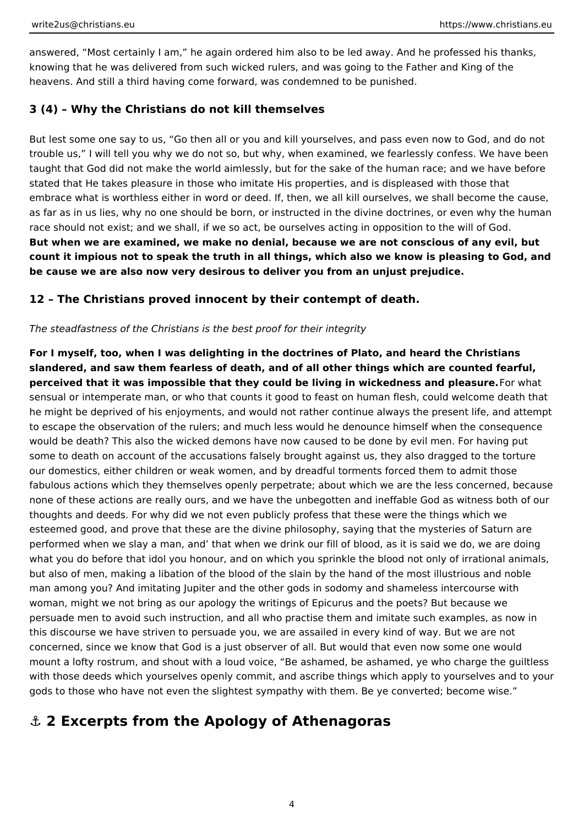<span id="page-3-0"></span>answered, "Most certainly I am," he again ordered him also to be led away. And he professed his thanks, knowing that he was delivered from such wicked rulers, and was going to the Father and King of the heavens. And still a third having come forward, was condemned to be punished.

## **3 (4)** *–* **Why the Christians do not kill themselves**

But lest some one say to us, "Go then all or you and kill yourselves, and pass even now to God, and do not trouble us," I will tell you why we do not so, but why, when examined, we fearlessly confess. We have been taught that God did not make the world aimlessly, but for the sake of the human race; and we have before stated that He takes pleasure in those who imitate His properties, and is displeased with those that embrace what is worthless either in word or deed. If, then, we all kill ourselves, we shall become the cause, as far as in us lies, why no one should be born, or instructed in the divine doctrines, or even why the human race should not exist; and we shall, if we so act, be ourselves acting in opposition to the will of God. **But when we are examined, we make no denial, because we are not conscious of any evil, but count it impious not to speak the truth in all things, which also we know is pleasing to God, and be cause we are also now very desirous to deliver you from an unjust prejudice.**

## **12 – The Christians proved innocent by their contempt of death.**

#### *The steadfastness of the Christians is the best proof for their integrity*

**For I myself, too, when I was delighting in the doctrines of Plato, and heard the Christians slandered, and saw them fearless of death, and of all other things which are counted fearful, perceived that it was impossible that they could be living in wickedness and pleasure.** For what sensual or intemperate man, or who that counts it good to feast on human flesh, could welcome death that he might be deprived of his enjoyments, and would not rather continue always the present life, and attempt to escape the observation of the rulers; and much less would he denounce himself when the consequence would be death? This also the wicked demons have now caused to be done by evil men. For having put some to death on account of the accusations falsely brought against us, they also dragged to the torture our domestics, either children or weak women, and by dreadful torments forced them to admit those fabulous actions which they themselves openly perpetrate; about which we are the less concerned, because none of these actions are really ours, and we have the unbegotten and ineffable God as witness both of our thoughts and deeds. For why did we not even publicly profess that these were the things which we esteemed good, and prove that these are the divine philosophy, saying that the mysteries of Saturn are performed when we slay a man, and' that when we drink our fill of blood, as it is said we do, we are doing what you do before that idol you honour, and on which you sprinkle the blood not only of irrational animals, but also of men, making a libation of the blood of the slain by the hand of the most illustrious and noble man among you? And imitating Jupiter and the other gods in sodomy and shameless intercourse with woman, might we not bring as our apology the writings of Epicurus and the poets? But because we persuade men to avoid such instruction, and all who practise them and imitate such examples, as now in this discourse we have striven to persuade you, we are assailed in every kind of way. But we are not concerned, since we know that God is a just observer of all. But would that even now some one would mount a lofty rostrum, and shout with a loud voice, "Be ashamed, be ashamed, ye who charge the guiltless with those deeds which yourselves openly commit, and ascribe things which apply to yourselves and to your gods to those who have not even the slightest sympathy with them. Be ye converted; become wise."

## **⚓ 2 Excerpts from the Apology of Athenagoras**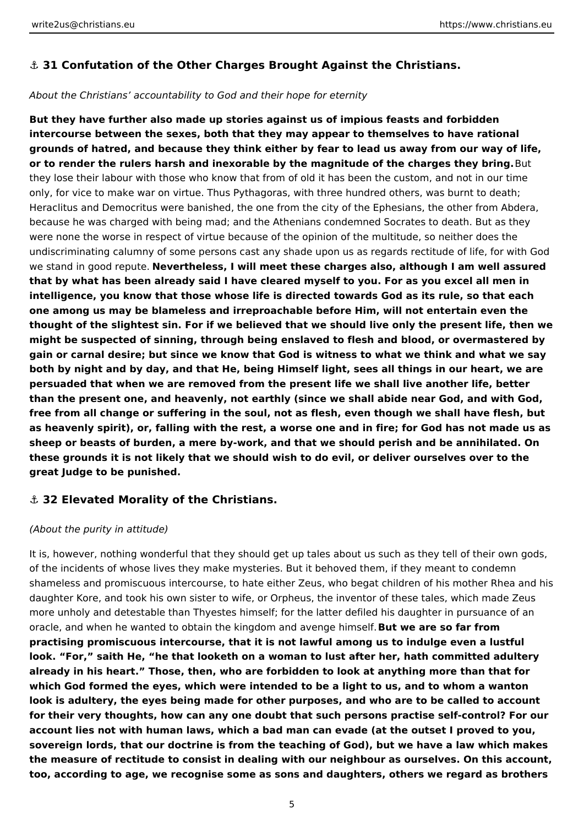#### <span id="page-4-0"></span>**⚓ 31 Confutation of the Other Charges Brought Against the Christians.**

#### *About the Christians' accountability to God and their hope for eternity*

**But they have further also made up stories against us of impious feasts and forbidden intercourse between the sexes, both that they may appear to themselves to have rational grounds of hatred, and because they think either by fear to lead us away from our way of life, or to render the rulers harsh and inexorable by the magnitude of the charges they bring.** But they lose their labour with those who know that from of old it has been the custom, and not in our time only, for vice to make war on virtue. Thus Pythagoras, with three hundred others, was burnt to death; Heraclitus and Democritus were banished, the one from the city of the Ephesians, the other from Abdera, because he was charged with being mad; and the Athenians condemned Socrates to death. But as they were none the worse in respect of virtue because of the opinion of the multitude, so neither does the undiscriminating calumny of some persons cast any shade upon us as regards rectitude of life, for with God we stand in good repute. **Nevertheless, I will meet these charges also, although I am well assured that by what has been already said I have cleared myself to you. For as you excel all men in intelligence, you know that those whose life is directed towards God as its rule, so that each one among us may be blameless and irreproachable before Him, will not entertain even the thought of the slightest sin. For if we believed that we should live only the present life, then we might be suspected of sinning, through being enslaved to flesh and blood, or overmastered by gain or carnal desire; but since we know that God is witness to what we think and what we say both by night and by day, and that He, being Himself light, sees all things in our heart, we are persuaded that when we are removed from the present life we shall live another life, better than the present one, and heavenly, not earthly (since we shall abide near God, and with God, free from all change or suffering in the soul, not as flesh, even though we shall have flesh, but as heavenly spirit), or, falling with the rest, a worse one and in fire; for God has not made us as sheep or beasts of burden, a mere by-work, and that we should perish and be annihilated. On these grounds it is not likely that we should wish to do evil, or deliver ourselves over to the great Judge to be punished.**

#### **⚓ 32 Elevated Morality of the Christians.**

#### *(About the purity in attitude)*

It is, however, nothing wonderful that they should get up tales about us such as they tell of their own gods, of the incidents of whose lives they make mysteries. But it behoved them, if they meant to condemn shameless and promiscuous intercourse, to hate either Zeus, who begat children of his mother Rhea and his daughter Kore, and took his own sister to wife, or Orpheus, the inventor of these tales, which made Zeus more unholy and detestable than Thyestes himself; for the latter defiled his daughter in pursuance of an oracle, and when he wanted to obtain the kingdom and avenge himself. **But we are so far from practising promiscuous intercourse, that it is not lawful among us to indulge even a lustful look. "For," saith He, "he that looketh on a woman to lust after her, hath committed adultery already in his heart." Those, then, who are forbidden to look at anything more than that for which God formed the eyes, which were intended to be a light to us, and to whom a wanton look is adultery, the eyes being made for other purposes, and who are to be called to account for their very thoughts, how can any one doubt that such persons practise self-control? For our account lies not with human laws, which a bad man can evade (at the outset I proved to you, sovereign lords, that our doctrine is from the teaching of God), but we have a law which makes the measure of rectitude to consist in dealing with our neighbour as ourselves. On this account, too, according to age, we recognise some as sons and daughters, others we regard as brothers**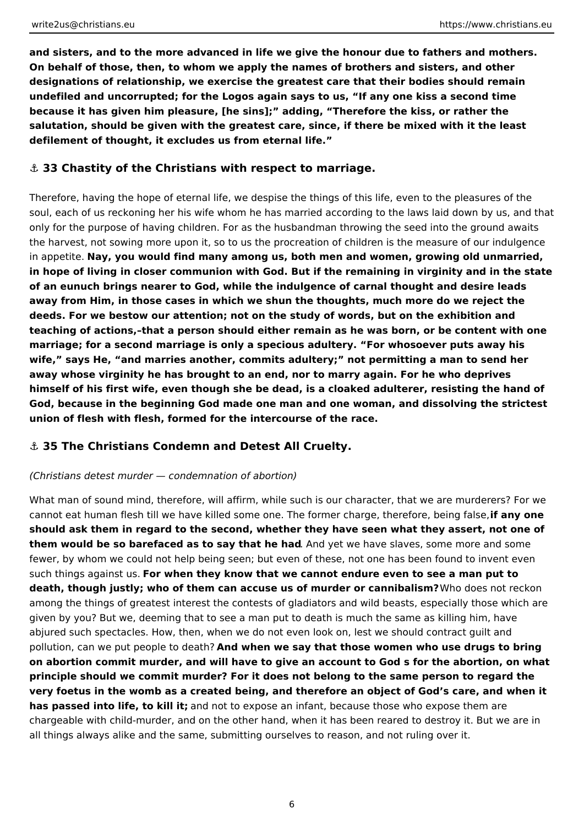<span id="page-5-0"></span>**and sisters, and to the more advanced in life we give the honour due to fathers and mothers. On behalf of those, then, to whom we apply the names of brothers and sisters, and other designations of relationship, we exercise the greatest care that their bodies should remain undefiled and uncorrupted; for the Logos again says to us, "If any one kiss a second time because it has given him pleasure, [he sins];" adding, "Therefore the kiss, or rather the salutation, should be given with the greatest care, since, if there be mixed with it the least defilement of thought, it excludes us from eternal life."**

#### **⚓ 33 Chastity of the Christians with respect to marriage.**

Therefore, having the hope of eternal life, we despise the things of this life, even to the pleasures of the soul, each of us reckoning her his wife whom he has married according to the laws laid down by us, and that only for the purpose of having children. For as the husbandman throwing the seed into the ground awaits the harvest, not sowing more upon it, so to us the procreation of children is the measure of our indulgence in appetite. **Nay, you would find many among us, both men and women, growing old unmarried, in hope of living in closer communion with God. But if the remaining in virginity and in the state of an eunuch brings nearer to God, while the indulgence of carnal thought and desire leads away from Him, in those cases in which we shun the thoughts, much more do we reject the deeds. For we bestow our attention; not on the study of words, but on the exhibition and teaching of actions,–that a person should either remain as he was born, or be content with one marriage; for a second marriage is only a specious adultery. "For whosoever puts away his wife," says He, "and marries another, commits adultery;" not permitting a man to send her away whose virginity he has brought to an end, nor to marry again. For he who deprives himself of his first wife, even though she be dead, is a cloaked adulterer, resisting the hand of God, because in the beginning God made one man and one woman, and dissolving the strictest union of flesh with flesh, formed for the intercourse of the race.**

### **⚓ 35 The Christians Condemn and Detest All Cruelty.**

#### *(Christians detest murder — condemnation of abortion)*

What man of sound mind, therefore, will affirm, while such is our character, that we are murderers? For we cannot eat human flesh till we have killed some one. The former charge, therefore, being false, **if any one should ask them in regard to the second, whether they have seen what they assert, not one of them would be so barefaced as to say that he had**. And yet we have slaves, some more and some fewer, by whom we could not help being seen; but even of these, not one has been found to invent even such things against us. **For when they know that we cannot endure even to see a man put to death, though justly; who of them can accuse us of murder or cannibalism?** Who does not reckon among the things of greatest interest the contests of gladiators and wild beasts, especially those which are given by you? But we, deeming that to see a man put to death is much the same as killing him, have abjured such spectacles. How, then, when we do not even look on, lest we should contract guilt and pollution, can we put people to death? **And when we say that those women who use drugs to bring on abortion commit murder, and will have to give an account to God s for the abortion, on what principle should we commit murder? For it does not belong to the same person to regard the very foetus in the womb as a created being, and therefore an object of God's care, and when it has passed into life, to kill it;** and not to expose an infant, because those who expose them are chargeable with child-murder, and on the other hand, when it has been reared to destroy it. But we are in all things always alike and the same, submitting ourselves to reason, and not ruling over it.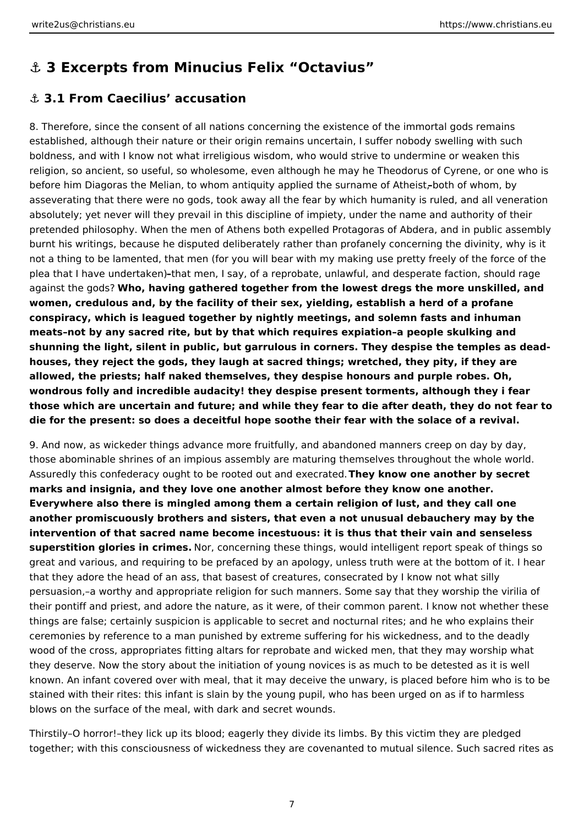## <span id="page-6-0"></span>**⚓ 3 Excerpts from Minucius Felix "Octavius"**

## **⚓ 3.1 From Caecilius' accusation**

8. Therefore, since the consent of all nations concerning the existence of the immortal gods remains established, although their nature or their origin remains uncertain, I suffer nobody swelling with such boldness, and with I know not what irreligious wisdom, who would strive to undermine or weaken this religion, so ancient, so useful, so wholesome, even although he may he Theodorus of Cyrene, or one who is before him Diagoras the Melian, to whom antiquity applied the surname of Atheist,**–**both of whom, by asseverating that there were no gods, took away all the fear by which humanity is ruled, and all veneration absolutely; yet never will they prevail in this discipline of impiety, under the name and authority of their pretended philosophy. When the men of Athens both expelled Protagoras of Abdera, and in public assembly burnt his writings, because he disputed deliberately rather than profanely concerning the divinity, why is it not a thing to be lamented, that men (for you will bear with my making use pretty freely of the force of the plea that I have undertaken)**–**that men, I say, of a reprobate, unlawful, and desperate faction, should rage against the gods? **Who, having gathered together from the lowest dregs the more unskilled, and women, credulous and, by the facility of their sex, yielding, establish a herd of a profane conspiracy, which is leagued together by nightly meetings, and solemn fasts and inhuman meats–not by any sacred rite, but by that which requires expiation–a people skulking and shunning the light, silent in public, but garrulous in corners. They despise the temples as deadhouses, they reject the gods, they laugh at sacred things; wretched, they pity, if they are allowed, the priests; half naked themselves, they despise honours and purple robes. Oh, wondrous folly and incredible audacity! they despise present torments, although they i fear those which are uncertain and future; and while they fear to die after death, they do not fear to die for the present: so does a deceitful hope soothe their fear with the solace of a revival.**

9. And now, as wickeder things advance more fruitfully, and abandoned manners creep on day by day, those abominable shrines of an impious assembly are maturing themselves throughout the whole world. Assuredly this confederacy ought to be rooted out and execrated. **They know one another by secret marks and insignia, and they love one another almost before they know one another. Everywhere also there is mingled among them a certain religion of lust, and they call one another promiscuously brothers and sisters, that even a not unusual debauchery may by the intervention of that sacred name become incestuous: it is thus that their vain and senseless superstition glories in crimes.** Nor, concerning these things, would intelligent report speak of things so great and various, and requiring to be prefaced by an apology, unless truth were at the bottom of it. I hear that they adore the head of an ass, that basest of creatures, consecrated by I know not what silly persuasion,–a worthy and appropriate religion for such manners. Some say that they worship the virilia of their pontiff and priest, and adore the nature, as it were, of their common parent. I know not whether these things are false; certainly suspicion is applicable to secret and nocturnal rites; and he who explains their ceremonies by reference to a man punished by extreme suffering for his wickedness, and to the deadly wood of the cross, appropriates fitting altars for reprobate and wicked men, that they may worship what they deserve. Now the story about the initiation of young novices is as much to be detested as it is well known. An infant covered over with meal, that it may deceive the unwary, is placed before him who is to be stained with their rites: this infant is slain by the young pupil, who has been urged on as if to harmless blows on the surface of the meal, with dark and secret wounds.

Thirstily–O horror!–they lick up its blood; eagerly they divide its limbs. By this victim they are pledged together; with this consciousness of wickedness they are covenanted to mutual silence. Such sacred rites as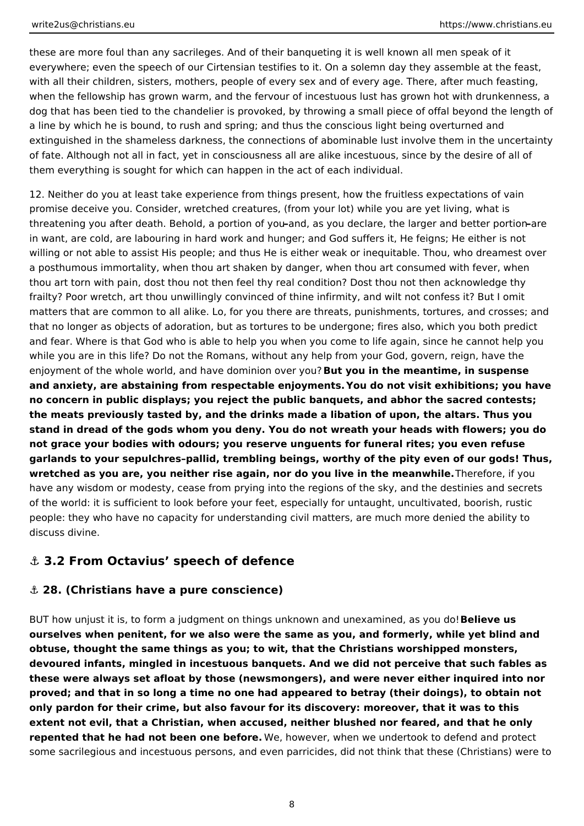<span id="page-7-0"></span>these are more foul than any sacrileges. And of their banqueting it is well known all men speak of it everywhere; even the speech of our Cirtensian testifies to it. On a solemn day they assemble at the feast, with all their children, sisters, mothers, people of every sex and of every age. There, after much feasting, when the fellowship has grown warm, and the fervour of incestuous lust has grown hot with drunkenness, a dog that has been tied to the chandelier is provoked, by throwing a small piece of offal beyond the length of a line by which he is bound, to rush and spring; and thus the conscious light being overturned and extinguished in the shameless darkness, the connections of abominable lust involve them in the uncertainty of fate. Although not all in fact, yet in consciousness all are alike incestuous, since by the desire of all of them everything is sought for which can happen in the act of each individual.

12. Neither do you at least take experience from things present, how the fruitless expectations of vain promise deceive you. Consider, wretched creatures, (from your lot) while you are yet living, what is threatening you after death. Behold, a portion of you**–**and, as you declare, the larger and better portion**–**are in want, are cold, are labouring in hard work and hunger; and God suffers it, He feigns; He either is not willing or not able to assist His people; and thus He is either weak or inequitable. Thou, who dreamest over a posthumous immortality, when thou art shaken by danger, when thou art consumed with fever, when thou art torn with pain, dost thou not then feel thy real condition? Dost thou not then acknowledge thy frailty? Poor wretch, art thou unwillingly convinced of thine infirmity, and wilt not confess it? But I omit matters that are common to all alike. Lo, for you there are threats, punishments, tortures, and crosses; and that no longer as objects of adoration, but as tortures to be undergone; fires also, which you both predict and fear. Where is that God who is able to help you when you come to life again, since he cannot help you while you are in this life? Do not the Romans, without any help from your God, govern, reign, have the enjoyment of the whole world, and have dominion over you? **But you in the meantime, in suspense and anxiety, are abstaining from respectable enjoyments. You do not visit exhibitions; you have no concern in public displays; you reject the public banquets, and abhor the sacred contests; the meats previously tasted by, and the drinks made a libation of upon, the altars. Thus you stand in dread of the gods whom you deny. You do not wreath your heads with flowers; you do not grace your bodies with odours; you reserve unguents for funeral rites; you even refuse garlands to your sepulchres–pallid, trembling beings, worthy of the pity even of our gods! Thus, wretched as you are, you neither rise again, nor do you live in the meanwhile.** Therefore, if you have any wisdom or modesty, cease from prying into the regions of the sky, and the destinies and secrets of the world: it is sufficient to look before your feet, especially for untaught, uncultivated, boorish, rustic people: they who have no capacity for understanding civil matters, are much more denied the ability to discuss divine.

## **⚓ 3.2 From Octavius' speech of defence**

### **⚓ 28. (Christians have a pure conscience)**

BUT how unjust it is, to form a judgment on things unknown and unexamined, as you do! **Believe us ourselves when penitent, for we also were the same as you, and formerly, while yet blind and obtuse, thought the same things as you; to wit, that the Christians worshipped monsters, devoured infants, mingled in incestuous banquets. And we did not perceive that such fables as these were always set afloat by those (newsmongers), and were never either inquired into nor proved; and that in so long a time no one had appeared to betray (their doings), to obtain not only pardon for their crime, but also favour for its discovery: moreover, that it was to this extent not evil, that a Christian, when accused, neither blushed nor feared, and that he only repented that he had not been one before.** We, however, when we undertook to defend and protect some sacrilegious and incestuous persons, and even parricides, did not think that these (Christians) were to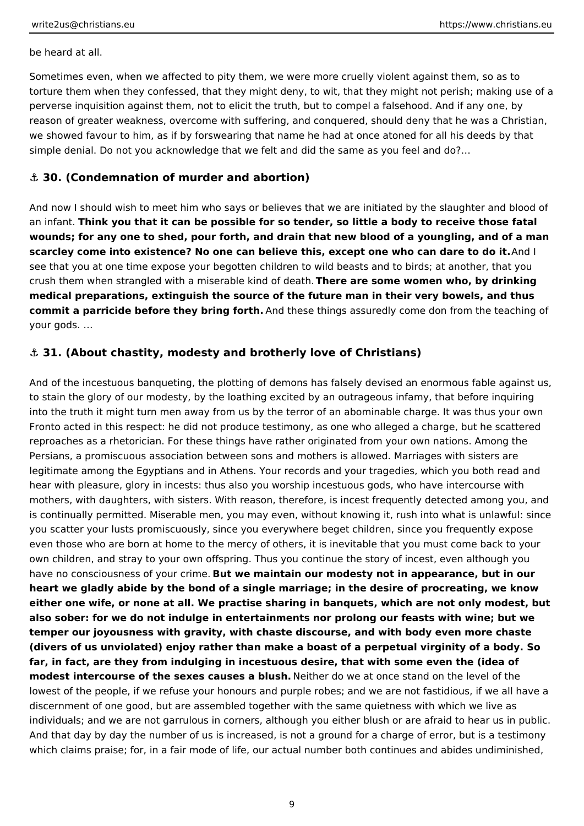<span id="page-8-0"></span>be heard at all.

Sometimes even, when we affected to pity them, we were more cruelly violent against them, so as to torture them when they confessed, that they might deny, to wit, that they might not perish; making use of a perverse inquisition against them, not to elicit the truth, but to compel a falsehood. And if any one, by reason of greater weakness, overcome with suffering, and conquered, should deny that he was a Christian, we showed favour to him, as if by forswearing that name he had at once atoned for all his deeds by that simple denial. Do not you acknowledge that we felt and did the same as you feel and do?…

#### **⚓ 30. (Condemnation of murder and abortion)**

And now I should wish to meet him who says or believes that we are initiated by the slaughter and blood of an infant. **Think you that it can be possible for so tender, so little a body to receive those fatal wounds; for any one to shed, pour forth, and drain that new blood of a youngling, and of a man scarcley come into existence? No one can believe this, except one who can dare to do it.** And I see that you at one time expose your begotten children to wild beasts and to birds; at another, that you crush them when strangled with a miserable kind of death. **There are some women who, by drinking medical preparations, extinguish the source of the future man in their very bowels, and thus commit a parricide before they bring forth.** And these things assuredly come don from the teaching of your gods. …

## **⚓ 31. (About chastity, modesty and brotherly love of Christians)**

And of the incestuous banqueting, the plotting of demons has falsely devised an enormous fable against us, to stain the glory of our modesty, by the loathing excited by an outrageous infamy, that before inquiring into the truth it might turn men away from us by the terror of an abominable charge. It was thus your own Fronto acted in this respect: he did not produce testimony, as one who alleged a charge, but he scattered reproaches as a rhetorician. For these things have rather originated from your own nations. Among the Persians, a promiscuous association between sons and mothers is allowed. Marriages with sisters are legitimate among the Egyptians and in Athens. Your records and your tragedies, which you both read and hear with pleasure, glory in incests: thus also you worship incestuous gods, who have intercourse with mothers, with daughters, with sisters. With reason, therefore, is incest frequently detected among you, and is continually permitted. Miserable men, you may even, without knowing it, rush into what is unlawful: since you scatter your lusts promiscuously, since you everywhere beget children, since you frequently expose even those who are born at home to the mercy of others, it is inevitable that you must come back to your own children, and stray to your own offspring. Thus you continue the story of incest, even although you have no consciousness of your crime. **But we maintain our modesty not in appearance, but in our heart we gladly abide by the bond of a single marriage; in the desire of procreating, we know either one wife, or none at all. We practise sharing in banquets, which are not only modest, but also sober: for we do not indulge in entertainments nor prolong our feasts with wine; but we temper our joyousness with gravity, with chaste discourse, and with body even more chaste (divers of us unviolated) enjoy rather than make a boast of a perpetual virginity of a body. So far, in fact, are they from indulging in incestuous desire, that with some even the (idea of modest intercourse of the sexes causes a blush.** Neither do we at once stand on the level of the lowest of the people, if we refuse your honours and purple robes; and we are not fastidious, if we all have a discernment of one good, but are assembled together with the same quietness with which we live as individuals; and we are not garrulous in corners, although you either blush or are afraid to hear us in public. And that day by day the number of us is increased, is not a ground for a charge of error, but is a testimony which claims praise; for, in a fair mode of life, our actual number both continues and abides undiminished,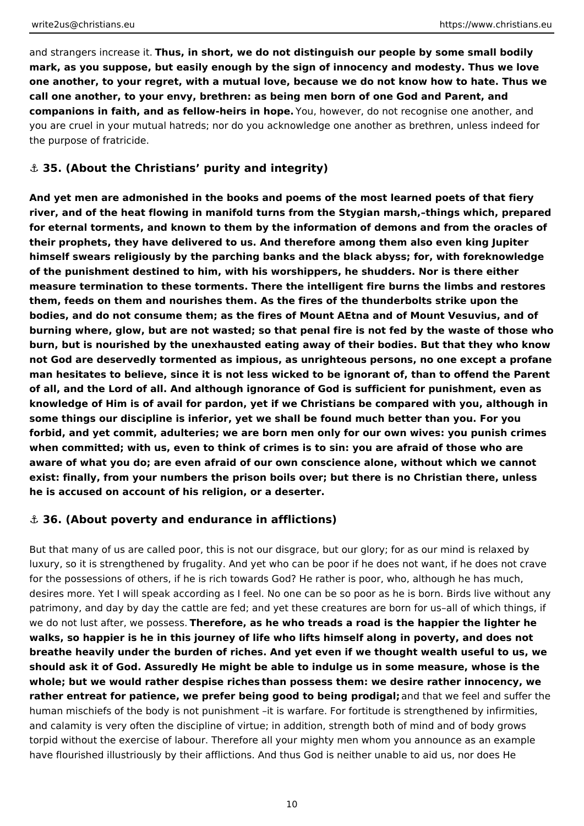<span id="page-9-0"></span>and strangers increase it. **Thus, in short, we do not distinguish our people by some small bodily mark, as you suppose, but easily enough by the sign of innocency and modesty. Thus we love one another, to your regret, with a mutual love, because we do not know how to hate. Thus we call one another, to your envy, brethren: as being men born of one God and Parent, and companions in faith, and as fellow-heirs in hope.** You, however, do not recognise one another, and you are cruel in your mutual hatreds; nor do you acknowledge one another as brethren, unless indeed for the purpose of fratricide.

#### **⚓ 35. (About the Christians' purity and integrity)**

**And yet men are admonished in the books and poems of the most learned poets of that fiery river, and of the heat flowing in manifold turns from the Stygian marsh,–things which, prepared for eternal torments, and known to them by the information of demons and from the oracles of their prophets, they have delivered to us. And therefore among them also even king Jupiter himself swears religiously by the parching banks and the black abyss; for, with foreknowledge of the punishment destined to him, with his worshippers, he shudders. Nor is there either measure termination to these torments. There the intelligent fire burns the limbs and restores them, feeds on them and nourishes them. As the fires of the thunderbolts strike upon the bodies, and do not consume them; as the fires of Mount AEtna and of Mount Vesuvius, and of burning where, glow, but are not wasted; so that penal fire is not fed by the waste of those who burn, but is nourished by the unexhausted eating away of their bodies. But that they who know not God are deservedly tormented as impious, as unrighteous persons, no one except a profane man hesitates to believe, since it is not less wicked to be ignorant of, than to offend the Parent of all, and the Lord of all. And although ignorance of God is sufficient for punishment, even as knowledge of Him is of avail for pardon, yet if we Christians be compared with you, although in some things our discipline is inferior, yet we shall be found much better than you. For you forbid, and yet commit, adulteries; we are born men only for our own wives: you punish crimes when committed; with us, even to think of crimes is to sin: you are afraid of those who are aware of what you do; are even afraid of our own conscience alone, without which we cannot exist: finally, from your numbers the prison boils over; but there is no Christian there, unless he is accused on account of his religion, or a deserter.**

#### **⚓ 36. (About poverty and endurance in afflictions)**

But that many of us are called poor, this is not our disgrace, but our glory; for as our mind is relaxed by luxury, so it is strengthened by frugality. And yet who can be poor if he does not want, if he does not crave for the possessions of others, if he is rich towards God? He rather is poor, who, although he has much, desires more. Yet I will speak according as I feel. No one can be so poor as he is born. Birds live without any patrimony, and day by day the cattle are fed; and yet these creatures are born for us–all of which things, if we do not lust after, we possess. **Therefore, as he who treads a road is the happier the lighter he walks, so happier is he in this journey of life who lifts himself along in poverty, and does not breathe heavily under the burden of riches. And yet even if we thought wealth useful to us, we should ask it of God. Assuredly He might be able to indulge us in some measure, whose is the whole; but we would rather despise riches than possess them: we desire rather innocency, we rather entreat for patience, we prefer being good to being prodigal;** and that we feel and suffer the human mischiefs of the body is not punishment –it is warfare. For fortitude is strengthened by infirmities, and calamity is very often the discipline of virtue; in addition, strength both of mind and of body grows torpid without the exercise of labour. Therefore all your mighty men whom you announce as an example have flourished illustriously by their afflictions. And thus God is neither unable to aid us, nor does He